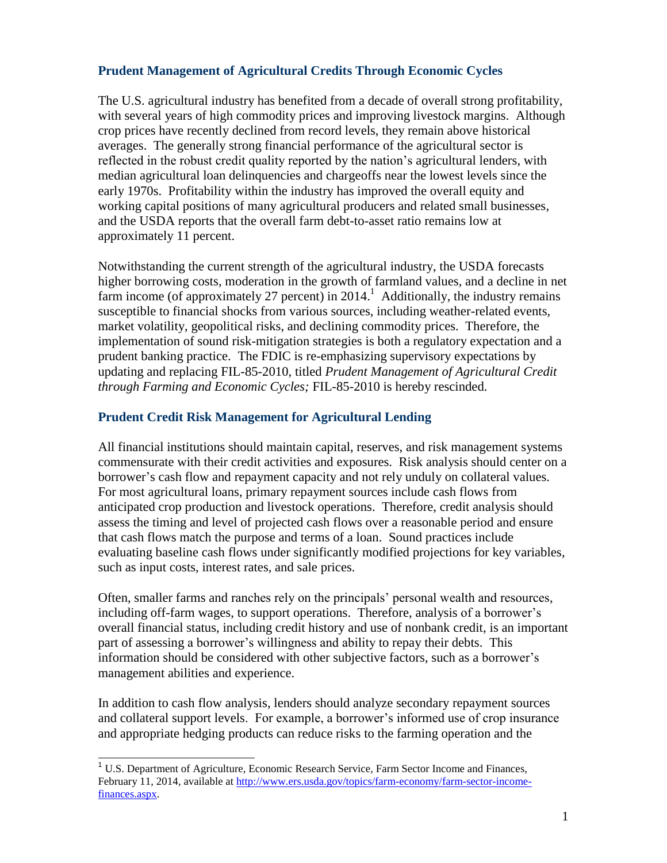## **Prudent Management of Agricultural Credits Through Economic Cycles**

The U.S. agricultural industry has benefited from a decade of overall strong profitability, with several years of high commodity prices and improving livestock margins. Although crop prices have recently declined from record levels, they remain above historical averages. The generally strong financial performance of the agricultural sector is reflected in the robust credit quality reported by the nation's agricultural lenders, with median agricultural loan delinquencies and chargeoffs near the lowest levels since the early 1970s. Profitability within the industry has improved the overall equity and working capital positions of many agricultural producers and related small businesses, and the USDA reports that the overall farm debt-to-asset ratio remains low at approximately 11 percent.

Notwithstanding the current strength of the agricultural industry, the USDA forecasts higher borrowing costs, moderation in the growth of farmland values, and a decline in net farm income (of approximately 27 percent) in 2014.<sup>1</sup> Additionally, the industry remains susceptible to financial shocks from various sources, including weather-related events, market volatility, geopolitical risks, and declining commodity prices. Therefore, the implementation of sound risk-mitigation strategies is both a regulatory expectation and a prudent banking practice. The FDIC is re-emphasizing supervisory expectations by updating and replacing FIL-85-2010, titled *Prudent Management of Agricultural Credit through Farming and Economic Cycles;* FIL-85-2010 is hereby rescinded.

## **Prudent Credit Risk Management for Agricultural Lending**

All financial institutions should maintain capital, reserves, and risk management systems commensurate with their credit activities and exposures. Risk analysis should center on a borrower's cash flow and repayment capacity and not rely unduly on collateral values. For most agricultural loans, primary repayment sources include cash flows from anticipated crop production and livestock operations. Therefore, credit analysis should assess the timing and level of projected cash flows over a reasonable period and ensure that cash flows match the purpose and terms of a loan. Sound practices include evaluating baseline cash flows under significantly modified projections for key variables, such as input costs, interest rates, and sale prices.

Often, smaller farms and ranches rely on the principals' personal wealth and resources, including off-farm wages, to support operations. Therefore, analysis of a borrower's overall financial status, including credit history and use of nonbank credit, is an important part of assessing a borrower's willingness and ability to repay their debts. This information should be considered with other subjective factors, such as a borrower's management abilities and experience.

In addition to cash flow analysis, lenders should analyze secondary repayment sources and collateral support levels. For example, a borrower's informed use of crop insurance and appropriate hedging products can reduce risks to the farming operation and the

j

<sup>&</sup>lt;sup>1</sup> U.S. Department of Agriculture, Economic Research Service, Farm Sector Income and Finances, February 11, 2014, available at [http://www.ers.usda.gov/topics/farm-economy/farm-sector-income](http://www.ers.usda.gov/topics/farm-economy/farm-sector-income-finances.aspx)[finances.aspx.](http://www.ers.usda.gov/topics/farm-economy/farm-sector-income-finances.aspx)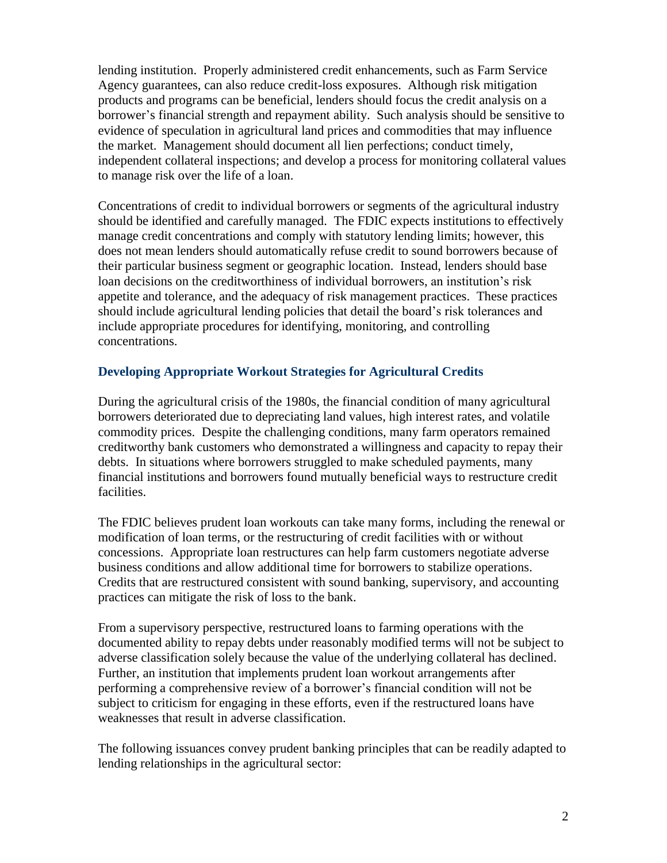lending institution. Properly administered credit enhancements, such as Farm Service Agency guarantees, can also reduce credit-loss exposures. Although risk mitigation products and programs can be beneficial, lenders should focus the credit analysis on a borrower's financial strength and repayment ability. Such analysis should be sensitive to evidence of speculation in agricultural land prices and commodities that may influence the market. Management should document all lien perfections; conduct timely, independent collateral inspections; and develop a process for monitoring collateral values to manage risk over the life of a loan.

Concentrations of credit to individual borrowers or segments of the agricultural industry should be identified and carefully managed. The FDIC expects institutions to effectively manage credit concentrations and comply with statutory lending limits; however, this does not mean lenders should automatically refuse credit to sound borrowers because of their particular business segment or geographic location. Instead, lenders should base loan decisions on the creditworthiness of individual borrowers, an institution's risk appetite and tolerance, and the adequacy of risk management practices. These practices should include agricultural lending policies that detail the board's risk tolerances and include appropriate procedures for identifying, monitoring, and controlling concentrations.

## **Developing Appropriate Workout Strategies for Agricultural Credits**

During the agricultural crisis of the 1980s, the financial condition of many agricultural borrowers deteriorated due to depreciating land values, high interest rates, and volatile commodity prices. Despite the challenging conditions, many farm operators remained creditworthy bank customers who demonstrated a willingness and capacity to repay their debts. In situations where borrowers struggled to make scheduled payments, many financial institutions and borrowers found mutually beneficial ways to restructure credit facilities.

The FDIC believes prudent loan workouts can take many forms, including the renewal or modification of loan terms, or the restructuring of credit facilities with or without concessions. Appropriate loan restructures can help farm customers negotiate adverse business conditions and allow additional time for borrowers to stabilize operations. Credits that are restructured consistent with sound banking, supervisory, and accounting practices can mitigate the risk of loss to the bank.

From a supervisory perspective, restructured loans to farming operations with the documented ability to repay debts under reasonably modified terms will not be subject to adverse classification solely because the value of the underlying collateral has declined. Further, an institution that implements prudent loan workout arrangements after performing a comprehensive review of a borrower's financial condition will not be subject to criticism for engaging in these efforts, even if the restructured loans have weaknesses that result in adverse classification.

The following issuances convey prudent banking principles that can be readily adapted to lending relationships in the agricultural sector: